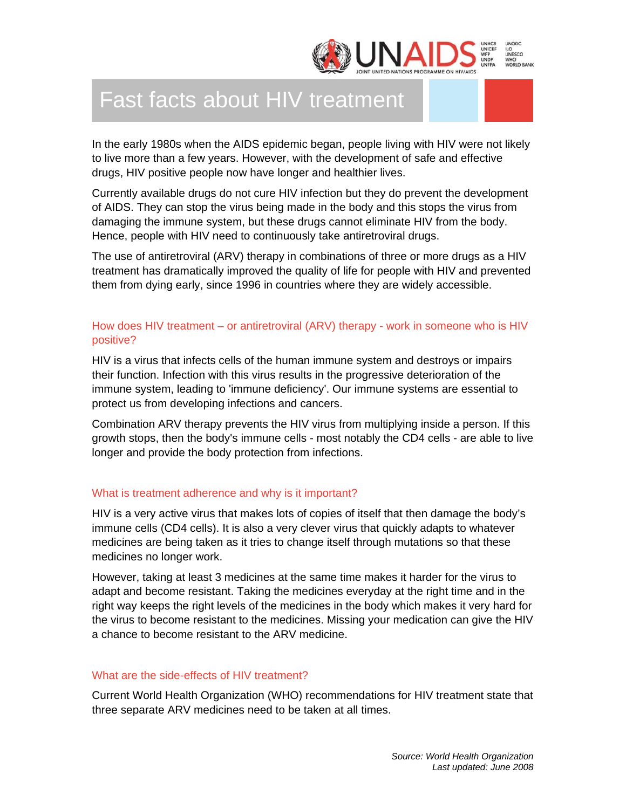

# Fast facts about HIV treatment

In the early 1980s when the AIDS epidemic began, people living with HIV were not likely to live more than a few years. However, with the development of safe and effective drugs, HIV positive people now have longer and healthier lives.

Currently available drugs do not cure HIV infection but they do prevent the development of AIDS. They can stop the virus being made in the body and this stops the virus from damaging the immune system, but these drugs cannot eliminate HIV from the body. Hence, people with HIV need to continuously take antiretroviral drugs.

The use of antiretroviral (ARV) therapy in combinations of three or more drugs as a HIV treatment has dramatically improved the quality of life for people with HIV and prevented them from dying early, since 1996 in countries where they are widely accessible.

# How does HIV treatment – or antiretroviral (ARV) therapy - work in someone who is HIV positive?

HIV is a virus that infects cells of the human immune system and destroys or impairs their function. Infection with this virus results in the progressive deterioration of the immune system, leading to 'immune deficiency'. Our immune systems are essential to protect us from developing infections and cancers.

Combination ARV therapy prevents the HIV virus from multiplying inside a person. If this growth stops, then the body's immune cells - most notably the CD4 cells - are able to live longer and provide the body protection from infections.

## What is treatment adherence and why is it important?

HIV is a very active virus that makes lots of copies of itself that then damage the body's immune cells (CD4 cells). It is also a very clever virus that quickly adapts to whatever medicines are being taken as it tries to change itself through mutations so that these medicines no longer work.

However, taking at least 3 medicines at the same time makes it harder for the virus to adapt and become resistant. Taking the medicines everyday at the right time and in the right way keeps the right levels of the medicines in the body which makes it very hard for the virus to become resistant to the medicines. Missing your medication can give the HIV a chance to become resistant to the ARV medicine.

## What are the side-effects of HIV treatment?

Current World Health Organization (WHO) recommendations for HIV treatment state that three separate ARV medicines need to be taken at all times.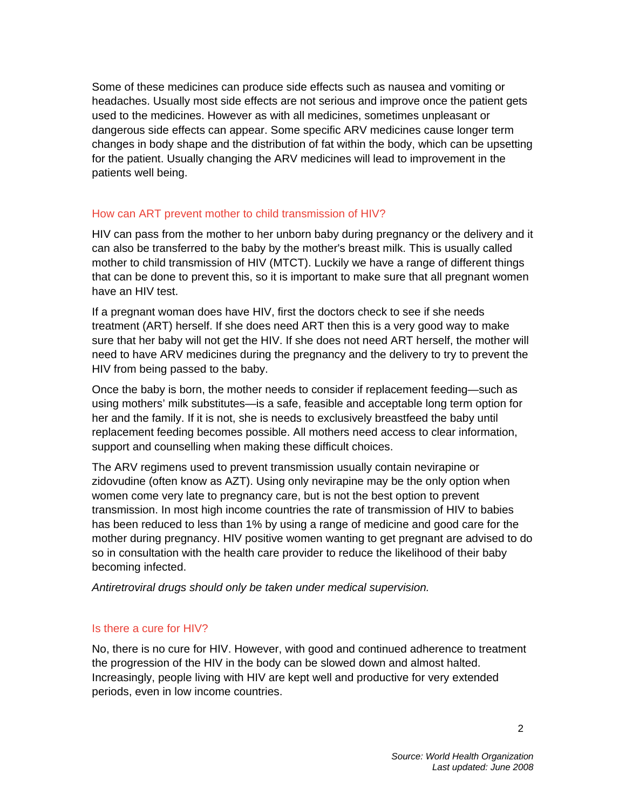Some of these medicines can produce side effects such as nausea and vomiting or headaches. Usually most side effects are not serious and improve once the patient gets used to the medicines. However as with all medicines, sometimes unpleasant or dangerous side effects can appear. Some specific ARV medicines cause longer term changes in body shape and the distribution of fat within the body, which can be upsetting for the patient. Usually changing the ARV medicines will lead to improvement in the patients well being.

## How can ART prevent mother to child transmission of HIV?

HIV can pass from the mother to her unborn baby during pregnancy or the delivery and it can also be transferred to the baby by the mother's breast milk. This is usually called mother to child transmission of HIV (MTCT). Luckily we have a range of different things that can be done to prevent this, so it is important to make sure that all pregnant women have an HIV test.

If a pregnant woman does have HIV, first the doctors check to see if she needs treatment (ART) herself. If she does need ART then this is a very good way to make sure that her baby will not get the HIV. If she does not need ART herself, the mother will need to have ARV medicines during the pregnancy and the delivery to try to prevent the HIV from being passed to the baby.

Once the baby is born, the mother needs to consider if replacement feeding—such as using mothers' milk substitutes—is a safe, feasible and acceptable long term option for her and the family. If it is not, she is needs to exclusively breastfeed the baby until replacement feeding becomes possible. All mothers need access to clear information, support and counselling when making these difficult choices.

The ARV regimens used to prevent transmission usually contain nevirapine or zidovudine (often know as AZT). Using only nevirapine may be the only option when women come very late to pregnancy care, but is not the best option to prevent transmission. In most high income countries the rate of transmission of HIV to babies has been reduced to less than 1% by using a range of medicine and good care for the mother during pregnancy. HIV positive women wanting to get pregnant are advised to do so in consultation with the health care provider to reduce the likelihood of their baby becoming infected.

*Antiretroviral drugs should only be taken under medical supervision.*

## Is there a cure for HIV?

No, there is no cure for HIV. However, with good and continued adherence to treatment the progression of the HIV in the body can be slowed down and almost halted. Increasingly, people living with HIV are kept well and productive for very extended periods, even in low income countries.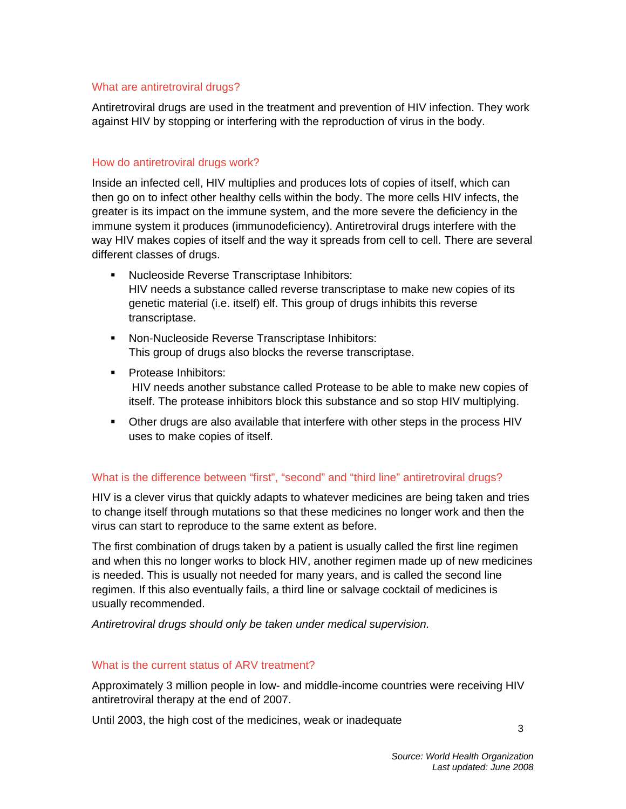## What are antiretroviral drugs?

Antiretroviral drugs are used in the treatment and prevention of HIV infection. They work against HIV by stopping or interfering with the reproduction of virus in the body.

## How do antiretroviral drugs work?

Inside an infected cell, HIV multiplies and produces lots of copies of itself, which can then go on to infect other healthy cells within the body. The more cells HIV infects, the greater is its impact on the immune system, and the more severe the deficiency in the immune system it produces (immunodeficiency). Antiretroviral drugs interfere with the way HIV makes copies of itself and the way it spreads from cell to cell. There are several different classes of drugs.

- **Nucleoside Reverse Transcriptase Inhibitors:** HIV needs a substance called reverse transcriptase to make new copies of its genetic material (i.e. itself) elf. This group of drugs inhibits this reverse transcriptase.
- **Non-Nucleoside Reverse Transcriptase Inhibitors:** This group of drugs also blocks the reverse transcriptase.
- **Protease Inhibitors:**  HIV needs another substance called Protease to be able to make new copies of itself. The protease inhibitors block this substance and so stop HIV multiplying.
- Other drugs are also available that interfere with other steps in the process HIV uses to make copies of itself.

## What is the difference between "first", "second" and "third line" antiretroviral drugs?

HIV is a clever virus that quickly adapts to whatever medicines are being taken and tries to change itself through mutations so that these medicines no longer work and then the virus can start to reproduce to the same extent as before.

The first combination of drugs taken by a patient is usually called the first line regimen and when this no longer works to block HIV, another regimen made up of new medicines is needed. This is usually not needed for many years, and is called the second line regimen. If this also eventually fails, a third line or salvage cocktail of medicines is usually recommended.

*Antiretroviral drugs should only be taken under medical supervision.* 

#### What is the current status of ARV treatment?

Approximately 3 million people in low- and middle-income countries were receiving HIV antiretroviral therapy at the end of 2007.

Until 2003, the high cost of the medicines, weak or inadequate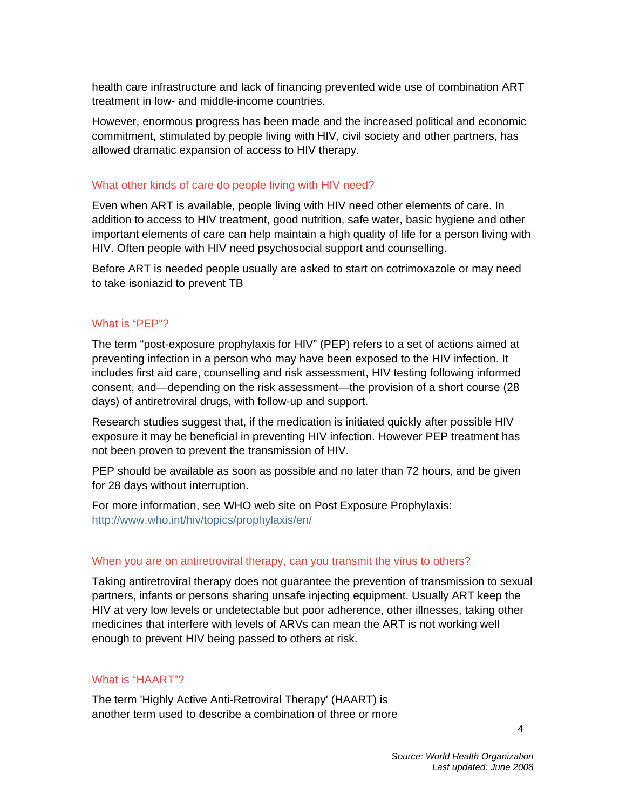health care infrastructure and lack of financing prevented wide use of combination ART treatment in low- and middle-income countries.

However, enormous progress has been made and the increased political and economic commitment, stimulated by people living with HIV, civil society and other partners, has allowed dramatic expansion of access to HIV therapy.

#### What other kinds of care do people living with HIV need?

Even when ART is available, people living with HIV need other elements of care. In addition to access to HIV treatment, good nutrition, safe water, basic hygiene and other important elements of care can help maintain a high quality of life for a person living with HIV. Often people with HIV need psychosocial support and counselling.

Before ART is needed people usually are asked to start on cotrimoxazole or may need to take isoniazid to prevent TB

#### What is "PEP"?

The term "post-exposure prophylaxis for HIV" (PEP) refers to a set of actions aimed at preventing infection in a person who may have been exposed to the HIV infection. It includes first aid care, counselling and risk assessment, HIV testing following informed consent, and—depending on the risk assessment—the provision of a short course (28 days) of antiretroviral drugs, with follow-up and support.

Research studies suggest that, if the medication is initiated quickly after possible HIV exposure it may be beneficial in preventing HIV infection. However PEP treatment has not been proven to prevent the transmission of HIV.

PEP should be available as soon as possible and no later than 72 hours, and be given for 28 days without interruption.

For more information, see WHO web site on Post Exposure Prophylaxis: http://www.who.int/hiv/topics/prophylaxis/en/

#### When you are on antiretroviral therapy, can you transmit the virus to others?

Taking antiretroviral therapy does not guarantee the prevention of transmission to sexual partners, infants or persons sharing unsafe injecting equipment. Usually ART keep the HIV at very low levels or undetectable but poor adherence, other illnesses, taking other medicines that interfere with levels of ARVs can mean the ART is not working well enough to prevent HIV being passed to others at risk.

#### What is "HAART"?

The term 'Highly Active Anti-Retroviral Therapy' (HAART) is another term used to describe a combination of three or more